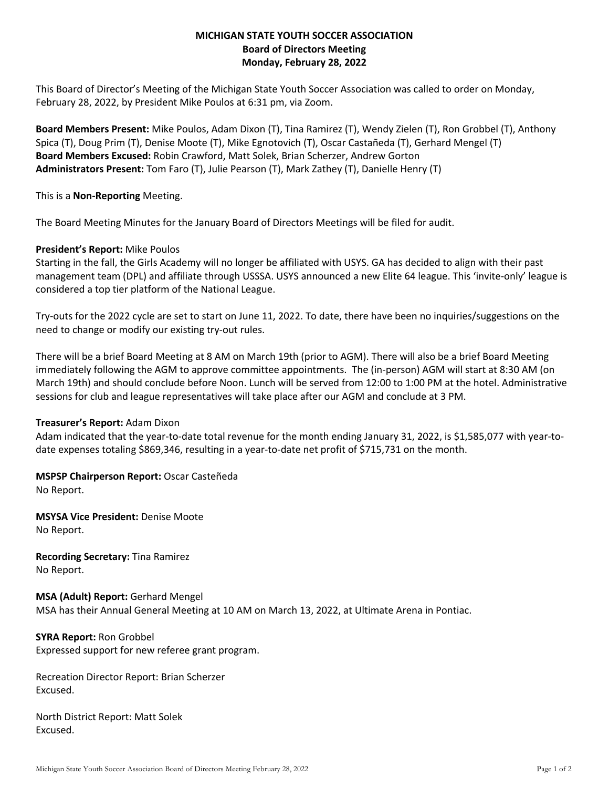# **MICHIGAN STATE YOUTH SOCCER ASSOCIATION Board of Directors Meeting Monday, February 28, 2022**

This Board of Director's Meeting of the Michigan State Youth Soccer Association was called to order on Monday, February 28, 2022, by President Mike Poulos at 6:31 pm, via Zoom.

**Board Members Present:** Mike Poulos, Adam Dixon (T), Tina Ramirez (T), Wendy Zielen (T), Ron Grobbel (T), Anthony Spica (T), Doug Prim (T), Denise Moote (T), Mike Egnotovich (T), Oscar Castañeda (T), Gerhard Mengel (T) **Board Members Excused:** Robin Crawford, Matt Solek, Brian Scherzer, Andrew Gorton **Administrators Present:** Tom Faro (T), Julie Pearson (T), Mark Zathey (T), Danielle Henry (T)

This is a **Non-Reporting** Meeting.

The Board Meeting Minutes for the January Board of Directors Meetings will be filed for audit.

## **President's Report:** Mike Poulos

Starting in the fall, the Girls Academy will no longer be affiliated with USYS. GA has decided to align with their past management team (DPL) and affiliate through USSSA. USYS announced a new Elite 64 league. This 'invite-only' league is considered a top tier platform of the National League.

Try-outs for the 2022 cycle are set to start on June 11, 2022. To date, there have been no inquiries/suggestions on the need to change or modify our existing try-out rules.

There will be a brief Board Meeting at 8 AM on March 19th (prior to AGM). There will also be a brief Board Meeting immediately following the AGM to approve committee appointments. The (in-person) AGM will start at 8:30 AM (on March 19th) and should conclude before Noon. Lunch will be served from 12:00 to 1:00 PM at the hotel. Administrative sessions for club and league representatives will take place after our AGM and conclude at 3 PM.

## **Treasurer's Report:** Adam Dixon

Adam indicated that the year-to-date total revenue for the month ending January 31, 2022, is \$1,585,077 with year-todate expenses totaling \$869,346, resulting in a year-to-date net profit of \$715,731 on the month.

**MSPSP Chairperson Report:** Oscar Casteñeda No Report.

**MSYSA Vice President:** Denise Moote No Report.

**Recording Secretary:** Tina Ramirez No Report.

**MSA (Adult) Report:** Gerhard Mengel MSA has their Annual General Meeting at 10 AM on March 13, 2022, at Ultimate Arena in Pontiac.

**SYRA Report:** Ron Grobbel Expressed support for new referee grant program.

Recreation Director Report: Brian Scherzer Excused.

North District Report: Matt Solek Excused.